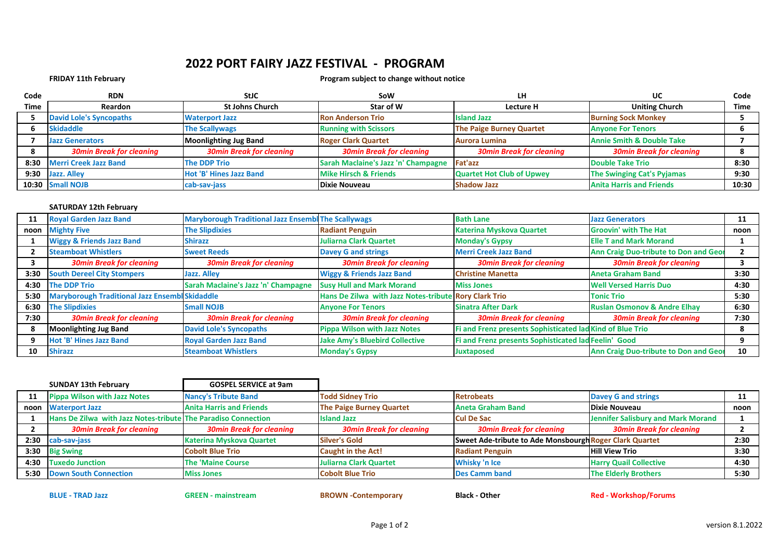## **2022 PORT FAIRY JAZZ FESTIVAL - PROGRAM**

## **FRIDAY 11th February Program subject to change without notice**

| Code | <b>RDN</b>                      | <b>StJC</b>                     | SoW                                         | LН                               | UC                                   | Code  |
|------|---------------------------------|---------------------------------|---------------------------------------------|----------------------------------|--------------------------------------|-------|
| Time | <b>Reardon</b>                  | <b>St Johns Church</b>          | Star of W                                   | Lecture H                        | <b>Uniting Church</b>                | Time  |
|      | <b>David Lole's Syncopaths</b>  | <b>Waterport Jazz</b>           | <b>Ron Anderson Trio</b>                    | <b>Island Jazz</b>               | <b>Burning Sock Monkey</b>           |       |
|      | <b>Skidaddle</b>                | <b>The Scallywags</b>           | <b>Running with Scissors</b>                | <b>The Paige Burney Quartet</b>  | <b>Anyone For Tenors</b>             |       |
|      | <b>Jazz Generators</b>          | <b>Moonlighting Jug Band</b>    | <b>Roger Clark Quartet</b>                  | <b>Aurora Lumina</b>             | <b>Annie Smith &amp; Double Take</b> |       |
|      | <b>30min Break for cleaning</b> | <b>30min Break for cleaning</b> | <b>30min Break for cleaning</b>             | <b>30min Break for cleaning</b>  | <b>30min Break for cleaning</b>      |       |
| 8:30 | <b>Merri Creek Jazz Band</b>    | <b>The DDP Trio</b>             | Sarah Maclaine's Jazz 'n' Champagne Fat'azz |                                  | <b>Double Take Trio</b>              | 8:30  |
| 9:30 | Jazz. Alley                     | Hot 'B' Hines Jazz Band         | <b>Mike Hirsch &amp; Friends</b>            | <b>Quartet Hot Club of Upwey</b> | <b>The Swinging Cat's Pyjamas</b>    | 9:30  |
|      | 10:30 Small NOJB                | cab-sav-jass                    | <b>Dixie Nouveau</b>                        | <b>Shadow Jazz</b>               | <b>Anita Harris and Friends</b>      | 10:30 |

## **SATURDAY 12th February**

| 11   | <b>Royal Garden Jazz Band</b>                         | <b>Maryborough Traditional Jazz Ensembl The Scallywags</b> |                                                       | <b>Bath Lane</b>                                          | <b>Jazz Generators</b>                       | 11   |
|------|-------------------------------------------------------|------------------------------------------------------------|-------------------------------------------------------|-----------------------------------------------------------|----------------------------------------------|------|
|      | noon Mighty Five                                      | <b>The Slipdixies</b>                                      | <b>Radiant Penguin</b>                                | <b>Katerina Myskova Quartet</b>                           | <b>Groovin' with The Hat</b>                 | noon |
|      | <b>Wiggy &amp; Friends Jazz Band</b>                  | <b>Shirazz</b>                                             | Juliarna Clark Quartet                                | <b>Monday's Gypsy</b>                                     | <b>Elle T and Mark Morand</b>                |      |
|      | <b>Steamboat Whistlers</b>                            | <b>Sweet Reeds</b>                                         | <b>Davey G and strings</b>                            | <b>Merri Creek Jazz Band</b>                              | <b>Ann Craig Duo-tribute to Don and Geor</b> |      |
|      | <b>30min Break for cleaning</b>                       | <b>30min Break for cleaning</b>                            | <b>30min Break for cleaning</b>                       | <b>30min Break for cleaning</b>                           | <b>30min Break for cleaning</b>              |      |
| 3:30 | <b>South Dereel City Stompers</b>                     | <b>Jazz. Alley</b>                                         | <b>Wiggy &amp; Friends Jazz Band</b>                  | <b>Christine Manetta</b>                                  | <b>Aneta Graham Band</b>                     | 3:30 |
| 4:30 | <b>The DDP Trio</b>                                   | Sarah Maclaine's Jazz 'n' Champagne                        | <b>Susy Hull and Mark Morand</b>                      | <b>Miss Jones</b>                                         | <b>Well Versed Harris Duo</b>                | 4:30 |
| 5:30 | <b>Maryborough Traditional Jazz Ensembl Skidaddle</b> |                                                            | Hans De Zilwa with Jazz Notes-tribute Rory Clark Trio |                                                           | <b>Tonic Trio</b>                            | 5:30 |
| 6:30 | <b>The Slipdixies</b>                                 | <b>Small NOJB</b>                                          | <b>Anyone For Tenors</b>                              | <b>Sinatra After Dark</b>                                 | <b>Ruslan Osmonov &amp; Andre Elhay</b>      | 6:30 |
| 7:30 | <b>30min Break for cleaning</b>                       | <b>30min Break for cleaning</b>                            | <b>30min Break for cleaning</b>                       | <b>30min Break for cleaning</b>                           | <b>30min Break for cleaning</b>              | 7:30 |
|      | <b>Moonlighting Jug Band</b>                          | <b>David Lole's Syncopaths</b>                             | <b>Pippa Wilson with Jazz Notes</b>                   | Fi and Frenz presents Sophisticated lad Kind of Blue Trio |                                              | я    |
| 9    | Hot 'B' Hines Jazz Band                               | <b>Royal Garden Jazz Band</b>                              | <b>Jake Amy's Bluebird Collective</b>                 | Fi and Frenz presents Sophisticated lad Feelin' Good      |                                              |      |
| 10   | <b>Shirazz</b>                                        | <b>Steamboat Whistlers</b>                                 | <b>Monday's Gypsy</b>                                 | <b>Juxtaposed</b>                                         | <b>Ann Craig Duo-tribute to Don and Geor</b> | 10   |

|      | <b>SUNDAY 13th February</b>                                   | <b>GOSPEL SERVICE at 9am</b>    |                                 |                                                         |                                           |      |
|------|---------------------------------------------------------------|---------------------------------|---------------------------------|---------------------------------------------------------|-------------------------------------------|------|
| 11   | <b>Pippa Wilson with Jazz Notes</b>                           | <b>Nancy's Tribute Band</b>     | <b>Todd Sidney Trio</b>         | <b>Retrobeats</b>                                       | <b>Davey G and strings</b>                |      |
| noon | <b>Waterport Jazz</b>                                         | <b>Anita Harris and Friends</b> | <b>The Paige Burney Quartet</b> | <b>Aneta Graham Band</b>                                | Dixie Nouveau                             | noon |
|      | Hans De Zilwa with Jazz Notes-tribute The Paradiso Connection |                                 | <b>Island Jazz</b>              | <b>Cul De Sac</b>                                       | <b>Jennifer Salisbury and Mark Morand</b> |      |
|      | <b>30min Break for cleaning</b>                               | <b>30min Break for cleaning</b> | <b>30min Break for cleaning</b> | <b>30min Break for cleaning</b>                         | <b>30min Break for cleaning</b>           |      |
| 2:30 | cab-sav-jass                                                  | <b>Katerina Myskova Quartet</b> | <b>Silver's Gold</b>            | Sweet Ade-tribute to Ade Monsbourgh Roger Clark Quartet |                                           | 2:30 |
|      | 3:30 Big Swing                                                | <b>Cobolt Blue Trio</b>         | <b>Caught in the Act!</b>       | <b>Radiant Penguin</b>                                  | <b>Hill View Trio</b>                     | 3:30 |
| 4:30 | <b>Tuxedo Junction</b>                                        | <b>The 'Maine Course</b>        | <b>Juliarna Clark Quartet</b>   | Whisky 'n Ice                                           | <b>Harry Quail Collective</b>             | 4:30 |
|      | 5:30 Down South Connection                                    | <b>Miss Jones</b>               | <b>Cobolt Blue Trio</b>         | <b>Des Camm band</b>                                    | <b>The Elderly Brothers</b>               | 5:30 |

**BLUE - TRAD Jazz GREEN - mainstream BROWN -Contemporary Black - Other Red - Workshop/Forums**